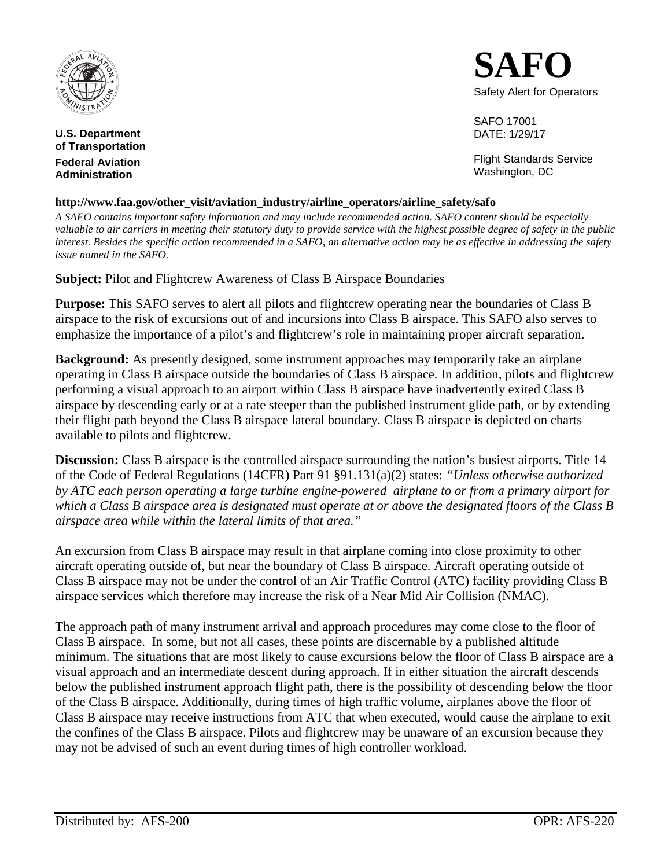

**U.S. Department of Transportation Federal Aviation Administration**



SAFO 17001 DATE: 1/29/17

Flight Standards Service Washington, DC

## **http://www.faa.gov/other\_visit/aviation\_industry/airline\_operators/airline\_safety/safo**

*A SAFO contains important safety information and may include recommended action. SAFO content should be especially valuable to air carriers in meeting their statutory duty to provide service with the highest possible degree of safety in the public interest. Besides the specific action recommended in a SAFO, an alternative action may be as effective in addressing the safety issue named in the SAFO.*

**Subject:** Pilot and Flightcrew Awareness of Class B Airspace Boundaries

**Purpose:** This SAFO serves to alert all pilots and flightcrew operating near the boundaries of Class B airspace to the risk of excursions out of and incursions into Class B airspace. This SAFO also serves to emphasize the importance of a pilot's and flightcrew's role in maintaining proper aircraft separation.

**Background:** As presently designed, some instrument approaches may temporarily take an airplane operating in Class B airspace outside the boundaries of Class B airspace. In addition, pilots and flightcrew performing a visual approach to an airport within Class B airspace have inadvertently exited Class B airspace by descending early or at a rate steeper than the published instrument glide path, or by extending their flight path beyond the Class B airspace lateral boundary. Class B airspace is depicted on charts available to pilots and flightcrew.

**Discussion:** Class B airspace is the controlled airspace surrounding the nation's busiest airports. Title 14 of the Code of Federal Regulations (14CFR) Part 91 §91.131(a)(2) states: *"Unless otherwise authorized by ATC each person operating a large turbine engine-powered airplane to or from a primary airport for which a Class B airspace area is designated must operate at or above the designated floors of the Class B airspace area while within the lateral limits of that area."*

An excursion from Class B airspace may result in that airplane coming into close proximity to other aircraft operating outside of, but near the boundary of Class B airspace. Aircraft operating outside of Class B airspace may not be under the control of an Air Traffic Control (ATC) facility providing Class B airspace services which therefore may increase the risk of a Near Mid Air Collision (NMAC).

The approach path of many instrument arrival and approach procedures may come close to the floor of Class B airspace. In some, but not all cases, these points are discernable by a published altitude minimum. The situations that are most likely to cause excursions below the floor of Class B airspace are a visual approach and an intermediate descent during approach. If in either situation the aircraft descends below the published instrument approach flight path, there is the possibility of descending below the floor of the Class B airspace. Additionally, during times of high traffic volume, airplanes above the floor of Class B airspace may receive instructions from ATC that when executed, would cause the airplane to exit the confines of the Class B airspace. Pilots and flightcrew may be unaware of an excursion because they may not be advised of such an event during times of high controller workload.